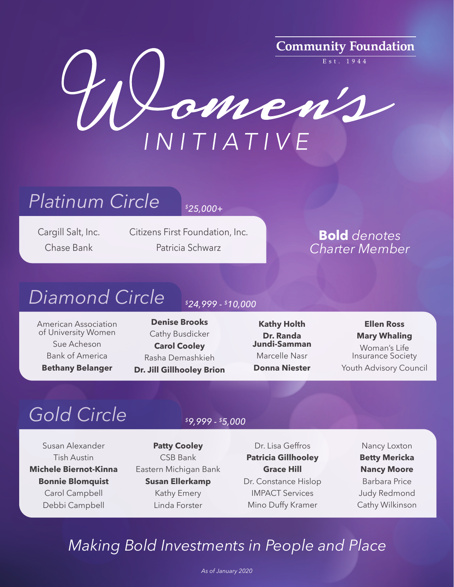

## *Platinum Circle*

*\$25,000+*

Cargill Salt, Inc. Chase Bank

Citizens First Foundation, Inc. Patricia Schwarz

**Bold** *denotes Charter Member*

### *Diamond Circle*

American Association of University Women Sue Acheson Bank of America **Bethany Belanger**

### *\$24,999 - \$10,000*

**Denise Brooks** Cathy Busdicker **Carol Cooley** Rasha Demashkieh **Dr. Jill Gillhooley Brion**

**Kathy Holth Dr. Randa Jundi-Samman** Marcelle Nasr **Donna Niester**

#### **Ellen Ross Mary Whaling**

Woman's Life Insurance Society Youth Advisory Council

# *Gold Circle*

Susan Alexander Tish Austin **Michele Biernot-Kinna Bonnie Blomquist** Carol Campbell Debbi Campbell

### *\$9,999 - \$5,000*

**Patty Cooley** CSB Bank Eastern Michigan Bank **Susan Ellerkamp** Kathy Emery Linda Forster

Dr. Lisa Geffros **Patricia Gillhooley Grace Hill** Dr. Constance Hislop IMPACT Services Mino Duffy Kramer

Nancy Loxton **Betty Mericka Nancy Moore** Barbara Price Judy Redmond Cathy Wilkinson

### *Making Bold Investments in People and Place*

*As of January 2020*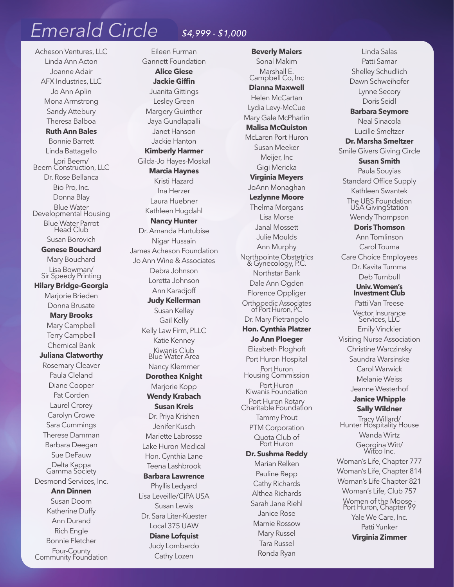### *Emerald Circle \$4,999 - \$1,000*

Acheson Ventures, LLC Linda Ann Acton Joanne Adair AFX Industries, LLC Jo Ann Aplin Mona Armstrong Sandy Attebury Theresa Balboa

**Ruth Ann Bales** Bonnie Barrett Linda Battagello Lori Beem/ Beem Construction, LLC Dr. Rose Bellanca Bio Pro, Inc. Donna Blay Blue Water Developmental Housing Blue Water Parrot Head Club Susan Borovich

**Genese Bouchard** Mary Bouchard Lisa Bowman/ Sir Speedy Printing

**Hilary Bridge-Georgia** Marjorie Brieden Donna Brusate **Mary Brooks**

Mary Campbell Terry Campbell Chemical Bank **Juliana Clatworthy**

Rosemary Cleaver Paula Cleland Diane Cooper Pat Corden Laurel Crorey Carolyn Crowe Sara Cummings Therese Damman Barbara Deegan Sue DeFauw Delta Kappa Gamma Society Desmond Services, Inc.

**Ann Dinnen** Susan Doorn Katherine Duffy Ann Durand Rich Engle Bonnie Fletcher Four-County Community Foundation

Eileen Furman Gannett Foundation **Alice Giese Jackie Giffin** Juanita Gittings Lesley Green Margery Guinther Jaya Gundlapalli Janet Hanson Jackie Hanton **Kimberly Harmer** Gilda-Jo Hayes-Moskal **Marcia Haynes** Kristi Hazard Ina Herzer Laura Huebner Kathleen Hugdahl **Nancy Hunter** Dr. Amanda Hurtubise Nigar Hussain James Acheson Foundation Jo Ann Wine & Associates Debra Johnson Loretta Johnson Ann Karadjoff **Judy Kellerman** Susan Kelley Gail Kelly Kelly Law Firm, PLLC Katie Kenney Kiwanis Club Blue Water Area Nancy Klemmer **Dorothea Knight** Marjorie Kopp **Wendy Krabach Susan Kreis** Dr. Priya Krishen Jenifer Kusch Mariette Labrosse Lake Huron Medical Hon. Cynthia Lane Teena Lashbrook **Barbara Lawrence** Phyllis Ledyard Lisa Leveille/CIPA USA Susan Lewis Dr. Sara Liter-Kuester Local 375 UAW **Diane Lofquist** Judy Lombardo Cathy Lozen

**Beverly Maiers** Sonal Makim Marshall E. Campbell Co, Inc **Dianna Maxwell** Helen McCartan Lydia Levy-McCue Mary Gale McPharlin **Malisa McQuiston** McLaren Port Huron Susan Meeker Meijer, Inc Gigi Mericka **Virginia Meyers** JoAnn Monaghan **Lezlynne Moore** Thelma Morgans Lisa Morse Janal Mossett Julie Moulds Ann Murphy Northpointe Obstetrics & Gynecology, P.C. Northstar Bank Dale Ann Ogden Florence Oppliger Orthopedic Associates of Port Huron, PC Dr. Mary Pietrangelo **Hon. Cynthia Platzer Jo Ann Ploeger** Elizabeth Ploghoft Port Huron Hospital Port Huron Housing Commission Port Huron Kiwanis Foundation Port Huron Rotary Charitable Foundation Tammy Prout PTM Corporation Quota Club of Port Huron **Dr. Sushma Reddy** Marian Relken Pauline Repp Cathy Richards Althea Richards Sarah Jane Riehl Janice Rose Marnie Rossow Mary Russel Tara Russel

Ronda Ryan

Linda Salas Patti Samar Shelley Schudlich Dawn Schweihofer Lynne Secory Doris Seidl **Barbara Seymore** Neal Sinacola Lucille Smeltzer **Dr. Marsha Smeltzer** Smile Givers Giving Circle **Susan Smith** Paula Souyias Standard Office Supply Kathleen Swantek The UBS Foundation USA GivingStation Wendy Thompson **Doris Thomson** Ann Tomlinson Carol Touma Care Choice Employees Dr. Kavita Tumma Deb Turnbull **Univ. Women's Investment Club** Patti Van Treese Vector Insurance Services, LLC Emily Vinckier Visiting Nurse Association Christine Warczinsky Saundra Warsinske Carol Warwick Melanie Weiss Jeanne Westerhof **Janice Whipple Sally Wildner** Tracy Willard/ Hunter Hospitality House Wanda Wirtz Georgina Witt/ Witco Inc. Woman's Life, Chapter 777 Woman's Life, Chapter 814 Woman's Life Chapter 821 Woman's Life, Club 757 Women of the Moose - Port Huron, Chapter 99 Yale We Care, Inc. Patti Yunker **Virginia Zimmer**